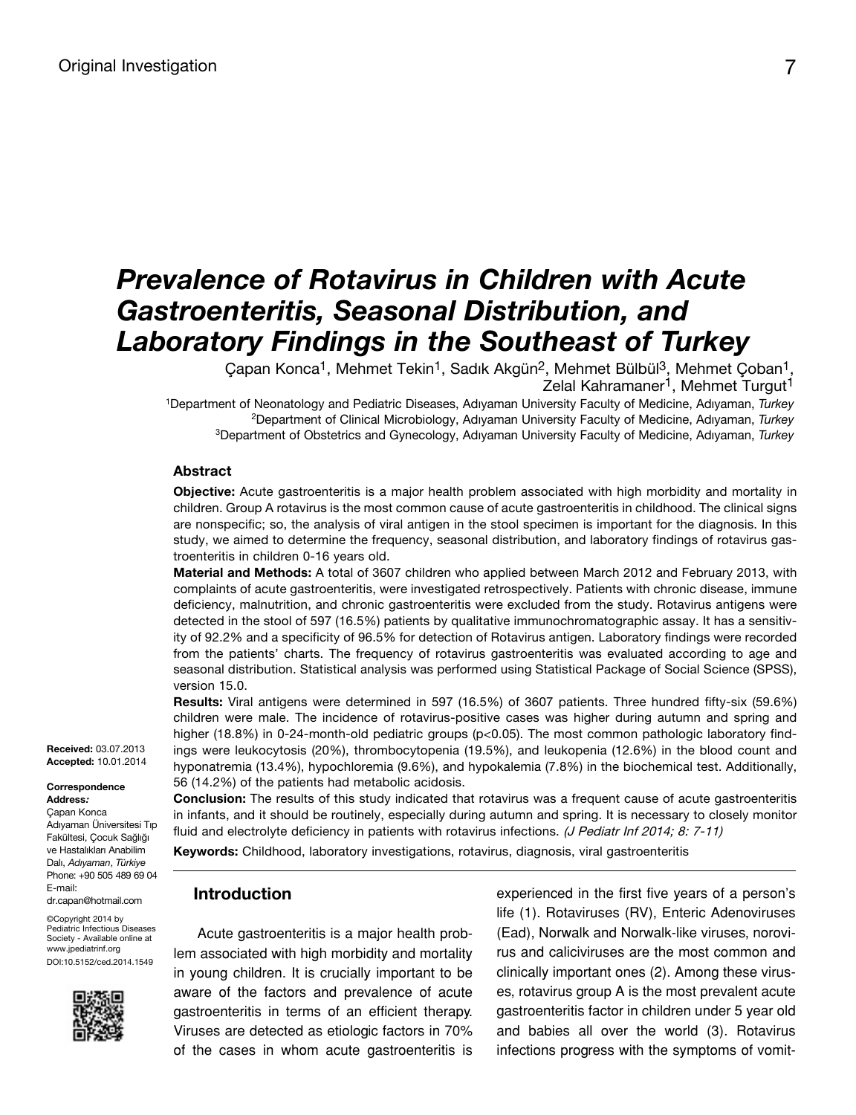# *Prevalence of Rotavirus in Children with Acute Gastroenteritis, Seasonal Distribution, and Laboratory Findings in the Southeast of Turkey*

Çapan Konca<sup>1</sup>, Mehmet Tekin<sup>1</sup>, Sadık Akgün<sup>2</sup>, Mehmet Bülbül<sup>3</sup>, Mehmet Çoban<sup>1</sup>, Zelal Kahramaner<sup>1</sup>, Mehmet Turgut<sup>1</sup>

<sup>1</sup>Department of Neonatology and Pediatric Diseases, Adıyaman University Faculty of Medicine, Adıyaman, *Turkey* <sup>2</sup>Department of Clinical Microbiology, Adıyaman University Faculty of Medicine, Adıyaman, *Turkey* <sup>3</sup>Department of Obstetrics and Gynecology, Adıyaman University Faculty of Medicine, Adıyaman, *Turkey*

#### **Abstract**

**Objective:** Acute gastroenteritis is a major health problem associated with high morbidity and mortality in children. Group A rotavirus is the most common cause of acute gastroenteritis in childhood. The clinical signs are nonspecific; so, the analysis of viral antigen in the stool specimen is important for the diagnosis. In this study, we aimed to determine the frequency, seasonal distribution, and laboratory findings of rotavirus gastroenteritis in children 0-16 years old.

**Material and Methods:** A total of 3607 children who applied between March 2012 and February 2013, with complaints of acute gastroenteritis, were investigated retrospectively. Patients with chronic disease, immune deficiency, malnutrition, and chronic gastroenteritis were excluded from the study. Rotavirus antigens were detected in the stool of 597 (16.5%) patients by qualitative immunochromatographic assay. It has a sensitivity of 92.2% and a specificity of 96.5% for detection of Rotavirus antigen. Laboratory findings were recorded from the patients' charts. The frequency of rotavirus gastroenteritis was evaluated according to age and seasonal distribution. Statistical analysis was performed using Statistical Package of Social Science (SPSS), version 15.0.

**Results:** Viral antigens were determined in 597 (16.5%) of 3607 patients. Three hundred fifty-six (59.6%) children were male. The incidence of rotavirus-positive cases was higher during autumn and spring and higher (18.8%) in 0-24-month-old pediatric groups (p<0.05). The most common pathologic laboratory findings were leukocytosis (20%), thrombocytopenia (19.5%), and leukopenia (12.6%) in the blood count and hyponatremia (13.4%), hypochloremia (9.6%), and hypokalemia (7.8%) in the biochemical test. Additionally, 56 (14.2%) of the patients had metabolic acidosis.

**Conclusion:** The results of this study indicated that rotavirus was a frequent cause of acute gastroenteritis in infants, and it should be routinely, especially during autumn and spring. It is necessary to closely monitor fluid and electrolyte deficiency in patients with rotavirus infections. (J Pediatr Inf 2014; 8: 7-11)

**Keywords:** Childhood, laboratory investigations, rotavirus, diagnosis, viral gastroenteritis

## **Introduction**

Acute gastroenteritis is a major health problem associated with high morbidity and mortality in young children. It is crucially important to be aware of the factors and prevalence of acute gastroenteritis in terms of an efficient therapy. Viruses are detected as etiologic factors in 70% of the cases in whom acute gastroenteritis is

experienced in the first five years of a person's life (1). Rotaviruses (RV), Enteric Adenoviruses (Ead), Norwalk and Norwalk-like viruses, norovirus and caliciviruses are the most common and clinically important ones (2). Among these viruses, rotavirus group A is the most prevalent acute gastroenteritis factor in children under 5 year old and babies all over the world (3). Rotavirus infections progress with the symptoms of vomit-

**Received:** 03.07.2013 **Accepted:** 10.01.2014

#### **Correspondence**

**Address:** Çapan Konca Adıyaman Üniversitesi Tıp Fakültesi, Çocuk Sağlığı

ve Hastalıkları Anabilim Dalı, *Adıyaman*, *Türkiye* Phone: +90 505 489 69 04 E-mail: dr.capan@hotmail.com

©Copyright 2014 by Pediatric Infectious Diseases Society - Available online at www.jpediatrinf.org DOI:10.5152/ced.2014.1549

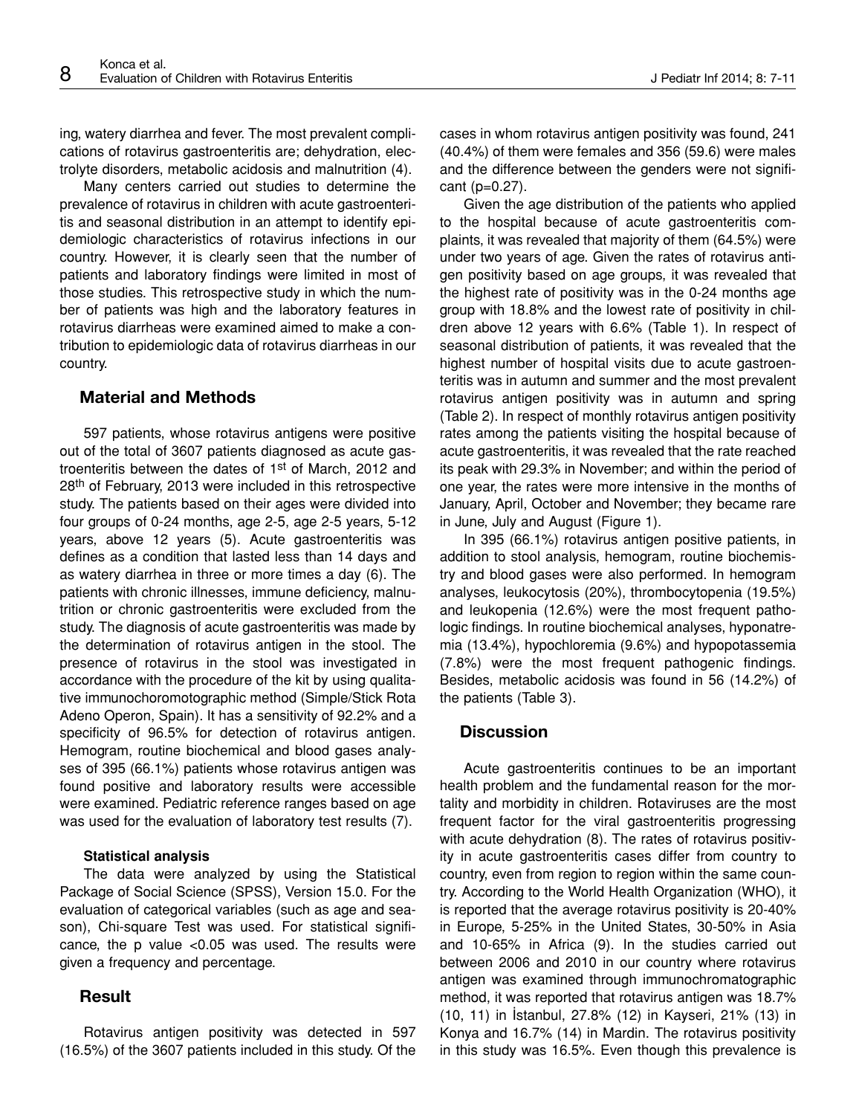ing, watery diarrhea and fever. The most prevalent complications of rotavirus gastroenteritis are; dehydration, electrolyte disorders, metabolic acidosis and malnutrition (4).

Many centers carried out studies to determine the prevalence of rotavirus in children with acute gastroenteritis and seasonal distribution in an attempt to identify epidemiologic characteristics of rotavirus infections in our country. However, it is clearly seen that the number of patients and laboratory findings were limited in most of those studies. This retrospective study in which the number of patients was high and the laboratory features in rotavirus diarrheas were examined aimed to make a contribution to epidemiologic data of rotavirus diarrheas in our country.

## **Material and Methods**

597 patients, whose rotavirus antigens were positive out of the total of 3607 patients diagnosed as acute gastroenteritis between the dates of 1st of March, 2012 and 28<sup>th</sup> of February, 2013 were included in this retrospective study. The patients based on their ages were divided into four groups of 0-24 months, age 2-5, age 2-5 years, 5-12 years, above 12 years (5). Acute gastroenteritis was defines as a condition that lasted less than 14 days and as watery diarrhea in three or more times a day (6). The patients with chronic illnesses, immune deficiency, malnutrition or chronic gastroenteritis were excluded from the study. The diagnosis of acute gastroenteritis was made by the determination of rotavirus antigen in the stool. The presence of rotavirus in the stool was investigated in accordance with the procedure of the kit by using qualitative immunochoromotographic method (Simple/Stick Rota Adeno Operon, Spain). It has a sensitivity of 92.2% and a specificity of 96.5% for detection of rotavirus antigen. Hemogram, routine biochemical and blood gases analyses of 395 (66.1%) patients whose rotavirus antigen was found positive and laboratory results were accessible were examined. Pediatric reference ranges based on age was used for the evaluation of laboratory test results (7).

#### **Statistical analysis**

The data were analyzed by using the Statistical Package of Social Science (SPSS), Version 15.0. For the evaluation of categorical variables (such as age and season), Chi-square Test was used. For statistical significance, the p value <0.05 was used. The results were given a frequency and percentage.

## **Result**

Rotavirus antigen positivity was detected in 597 (16.5%) of the 3607 patients included in this study. Of the cases in whom rotavirus antigen positivity was found, 241 (40.4%) of them were females and 356 (59.6) were males and the difference between the genders were not significant (p=0.27).

Given the age distribution of the patients who applied to the hospital because of acute gastroenteritis complaints, it was revealed that majority of them (64.5%) were under two years of age. Given the rates of rotavirus antigen positivity based on age groups, it was revealed that the highest rate of positivity was in the 0-24 months age group with 18.8% and the lowest rate of positivity in children above 12 years with 6.6% (Table 1). In respect of seasonal distribution of patients, it was revealed that the highest number of hospital visits due to acute gastroenteritis was in autumn and summer and the most prevalent rotavirus antigen positivity was in autumn and spring (Table 2). In respect of monthly rotavirus antigen positivity rates among the patients visiting the hospital because of acute gastroenteritis, it was revealed that the rate reached its peak with 29.3% in November; and within the period of one year, the rates were more intensive in the months of January, April, October and November; they became rare in June, July and August (Figure 1).

In 395 (66.1%) rotavirus antigen positive patients, in addition to stool analysis, hemogram, routine biochemistry and blood gases were also performed. In hemogram analyses, leukocytosis (20%), thrombocytopenia (19.5%) and leukopenia (12.6%) were the most frequent pathologic findings. In routine biochemical analyses, hyponatremia (13.4%), hypochloremia (9.6%) and hypopotassemia (7.8%) were the most frequent pathogenic findings. Besides, metabolic acidosis was found in 56 (14.2%) of the patients (Table 3).

### **Discussion**

Acute gastroenteritis continues to be an important health problem and the fundamental reason for the mortality and morbidity in children. Rotaviruses are the most frequent factor for the viral gastroenteritis progressing with acute dehydration (8). The rates of rotavirus positivity in acute gastroenteritis cases differ from country to country, even from region to region within the same country. According to the World Health Organization (WHO), it is reported that the average rotavirus positivity is 20-40% in Europe, 5-25% in the United States, 30-50% in Asia and 10-65% in Africa (9). In the studies carried out between 2006 and 2010 in our country where rotavirus antigen was examined through immunochromatographic method, it was reported that rotavirus antigen was 18.7% (10, 11) in İstanbul, 27.8% (12) in Kayseri, 21% (13) in Konya and 16.7% (14) in Mardin. The rotavirus positivity in this study was 16.5%. Even though this prevalence is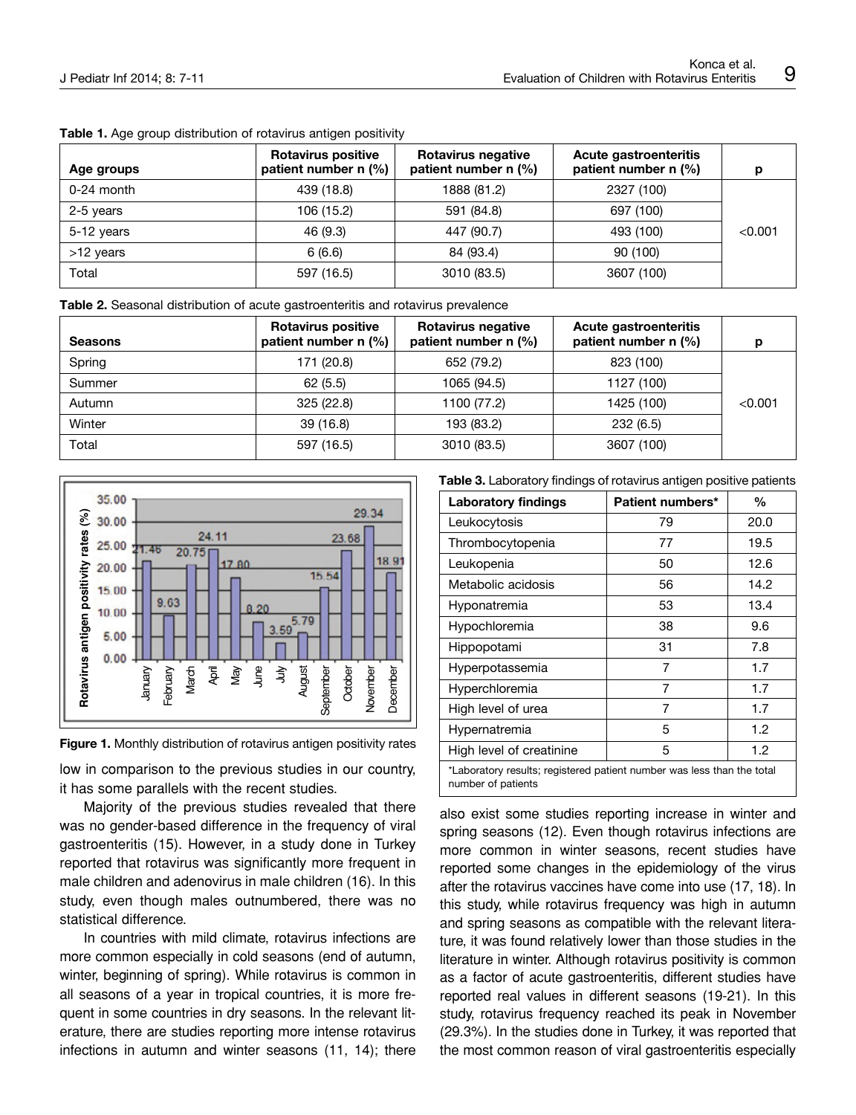| Age groups   | <b>Rotavirus positive</b><br>patient number $n$ (%) | Rotavirus negative<br>patient number $n$ (%) | Acute gastroenteritis<br>patient number $n$ (%) |         |
|--------------|-----------------------------------------------------|----------------------------------------------|-------------------------------------------------|---------|
| $0-24$ month | 439 (18.8)                                          | 1888 (81.2)                                  | 2327 (100)                                      |         |
| 2-5 years    | 106 (15.2)                                          | 591 (84.8)                                   | 697 (100)                                       |         |
| 5-12 years   | 46 (9.3)                                            | 447 (90.7)                                   | 493 (100)                                       | < 0.001 |
| >12 years    | 6(6.6)                                              | 84 (93.4)                                    | 90 (100)                                        |         |
| Total        | 597 (16.5)                                          | 3010 (83.5)                                  | 3607 (100)                                      |         |

#### **Table 1.** Age group distribution of rotavirus antigen positivity

**Table 2.** Seasonal distribution of acute gastroenteritis and rotavirus prevalence

| <b>Seasons</b> | <b>Rotavirus positive</b><br>patient number $n$ (%) | Rotavirus negative<br>patient number $n$ (%) | Acute gastroenteritis<br>patient number $n$ (%) |         |
|----------------|-----------------------------------------------------|----------------------------------------------|-------------------------------------------------|---------|
| Spring         | 171 (20.8)                                          | 652 (79.2)                                   | 823 (100)                                       |         |
| Summer         | 62(5.5)                                             | 1065 (94.5)                                  | 1127 (100)                                      |         |
| Autumn         | 325 (22.8)                                          | 1100 (77.2)                                  | 1425 (100)                                      | < 0.001 |
| Winter         | 39(16.8)                                            | 193 (83.2)                                   | 232(6.5)                                        |         |
| Total          | 597 (16.5)                                          | 3010 (83.5)                                  | 3607 (100)                                      |         |





low in comparison to the previous studies in our country, it has some parallels with the recent studies.

Majority of the previous studies revealed that there was no gender-based difference in the frequency of viral gastroenteritis (15). However, in a study done in Turkey reported that rotavirus was significantly more frequent in male children and adenovirus in male children (16). In this study, even though males outnumbered, there was no statistical difference.

In countries with mild climate, rotavirus infections are more common especially in cold seasons (end of autumn, winter, beginning of spring). While rotavirus is common in all seasons of a year in tropical countries, it is more frequent in some countries in dry seasons. In the relevant literature, there are studies reporting more intense rotavirus infections in autumn and winter seasons (11, 14); there **Table 3.** Laboratory findings of rotavirus antigen positive patients

| <b>Laboratory findings</b>                                                                   | Patient numbers* | $\%$ |  |  |
|----------------------------------------------------------------------------------------------|------------------|------|--|--|
| Leukocytosis                                                                                 | 79               | 20.0 |  |  |
| Thrombocytopenia                                                                             | 77               | 19.5 |  |  |
| Leukopenia                                                                                   | 50               | 12.6 |  |  |
| Metabolic acidosis                                                                           | 56               | 14.2 |  |  |
| Hyponatremia                                                                                 | 53               | 13.4 |  |  |
| Hypochloremia                                                                                | 38               | 9.6  |  |  |
| Hippopotami                                                                                  | 31               | 7.8  |  |  |
| Hyperpotassemia                                                                              | 7                | 1.7  |  |  |
| Hyperchloremia                                                                               | 7                | 1.7  |  |  |
| High level of urea                                                                           | 7                | 1.7  |  |  |
| Hypernatremia                                                                                | 5                | 1.2  |  |  |
| High level of creatinine                                                                     | 5                | 1.2  |  |  |
| *Laboratory results; registered patient number was less than the total<br>number of patients |                  |      |  |  |

also exist some studies reporting increase in winter and spring seasons (12). Even though rotavirus infections are more common in winter seasons, recent studies have reported some changes in the epidemiology of the virus after the rotavirus vaccines have come into use (17, 18). In this study, while rotavirus frequency was high in autumn and spring seasons as compatible with the relevant literature, it was found relatively lower than those studies in the literature in winter. Although rotavirus positivity is common as a factor of acute gastroenteritis, different studies have reported real values in different seasons (19-21). In this study, rotavirus frequency reached its peak in November (29.3%). In the studies done in Turkey, it was reported that the most common reason of viral gastroenteritis especially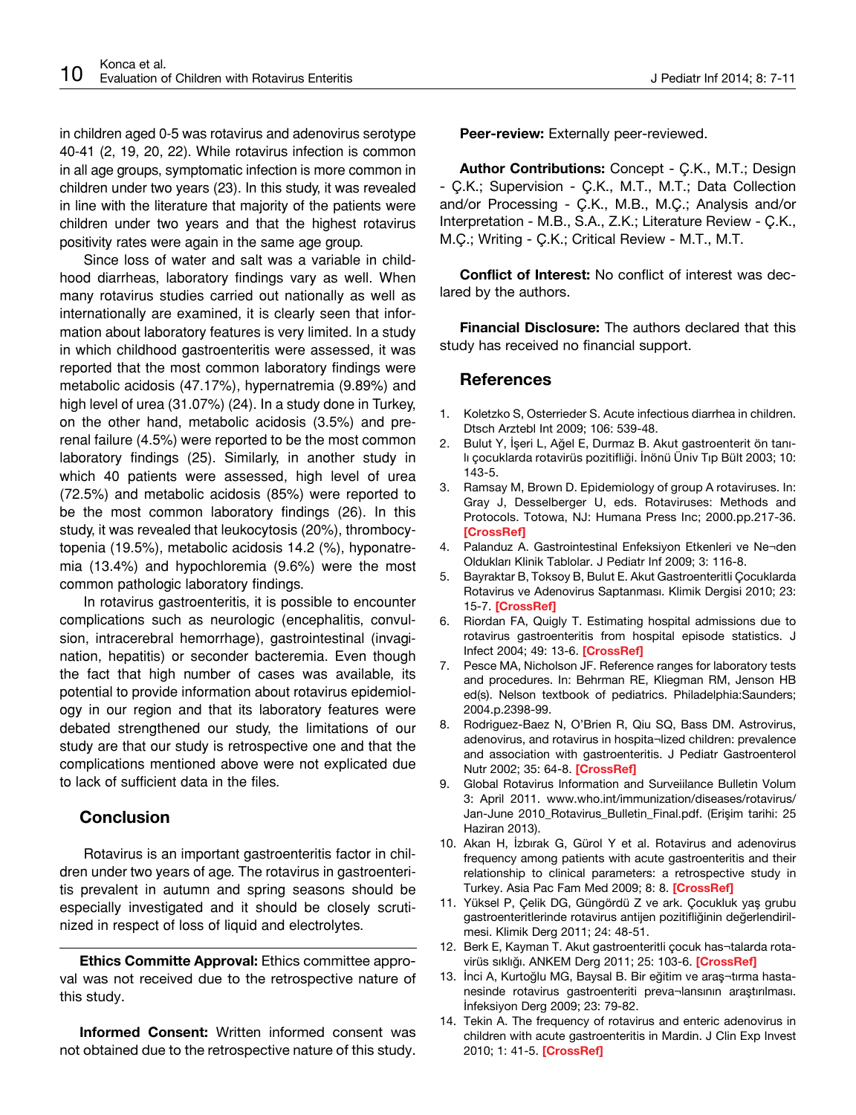in children aged 0-5 was rotavirus and adenovirus serotype 40-41 (2, 19, 20, 22). While rotavirus infection is common in all age groups, symptomatic infection is more common in children under two years (23). In this study, it was revealed in line with the literature that majority of the patients were children under two years and that the highest rotavirus positivity rates were again in the same age group.

Since loss of water and salt was a variable in childhood diarrheas, laboratory findings vary as well. When many rotavirus studies carried out nationally as well as internationally are examined, it is clearly seen that information about laboratory features is very limited. In a study in which childhood gastroenteritis were assessed, it was reported that the most common laboratory findings were metabolic acidosis (47.17%), hypernatremia (9.89%) and high level of urea (31.07%) (24). In a study done in Turkey, on the other hand, metabolic acidosis (3.5%) and prerenal failure (4.5%) were reported to be the most common laboratory findings (25). Similarly, in another study in which 40 patients were assessed, high level of urea (72.5%) and metabolic acidosis (85%) were reported to be the most common laboratory findings (26). In this study, it was revealed that leukocytosis (20%), thrombocytopenia (19.5%), metabolic acidosis 14.2 (%), hyponatremia (13.4%) and hypochloremia (9.6%) were the most common pathologic laboratory findings.

In rotavirus gastroenteritis, it is possible to encounter complications such as neurologic (encephalitis, convulsion, intracerebral hemorrhage), gastrointestinal (invagination, hepatitis) or seconder bacteremia. Even though the fact that high number of cases was available, its potential to provide information about rotavirus epidemiology in our region and that its laboratory features were debated strengthened our study, the limitations of our study are that our study is retrospective one and that the complications mentioned above were not explicated due to lack of sufficient data in the files.

## **Conclusion**

Rotavirus is an important gastroenteritis factor in children under two years of age. The rotavirus in gastroenteritis prevalent in autumn and spring seasons should be especially investigated and it should be closely scrutinized in respect of loss of liquid and electrolytes.

**Ethics Committe Approval:** Ethics committee approval was not received due to the retrospective nature of this study.

**Informed Consent:** Written informed consent was not obtained due to the retrospective nature of this study. Peer-review: Externally peer-reviewed.

**Author Contributions:** Concept - Ç.K., M.T.; Design - Ç.K.; Supervision - Ç.K., M.T., M.T.; Data Collection and/or Processing - Ç.K., M.B., M.Ç.; Analysis and/or Interpretation - M.B., S.A., Z.K.; Literature Review - Ç.K., M.Ç.; Writing - Ç.K.; Critical Review - M.T., M.T.

**Conflict of Interest:** No conflict of interest was declared by the authors.

**Financial Disclosure:** The authors declared that this study has received no financial support.

## **References**

- 1. Koletzko S, Osterrieder S. Acute infectious diarrhea in children. Dtsch Arztebl Int 2009; 106: 539-48.
- 2. Bulut Y, İşeri L, Ağel E, Durmaz B. Akut gastroenterit ön tanılı çocuklarda rotavirüs pozitifliği. İnönü Üniv Tıp Bült 2003; 10: 143-5.
- 3. Ramsay M, Brown D. Epidemiology of group A rotaviruses. In: Gray J, Desselberger U, eds. Rotaviruses: Methods and Protocols. Totowa, NJ: Humana Press Inc; 2000.pp.217-36. **[\[CrossRef\]](http://dx.doi.org/10.1385/1-59259-078-0:217)**
- 4. Palanduz A. Gastrointestinal Enfeksiyon Etkenleri ve Ne¬den Oldukları Klinik Tablolar. J Pediatr Inf 2009; 3: 116-8.
- 5. Bayraktar B, Toksoy B, Bulut E. Akut Gastroenteritli Çocuklarda Rotavirus ve Adenovirus Saptanması. Klimik Dergisi 2010; 23: 15-7. **[[CrossRef](http://dx.doi.org/10.5152/kd.2010.05)]**
- 6. Riordan FA, Quigly T. Estimating hospital admissions due to rotavirus gastroenteritis from hospital episode statistics. J Infect 2004; 49: 13-6. **[[CrossRef](http://dx.doi.org/10.1016/j.jinf.2004.02.006)]**
- 7. Pesce MA, Nicholson JF. Reference ranges for laboratory tests and procedures. In: Behrman RE, Kliegman RM, Jenson HB ed(s). Nelson textbook of pediatrics. Philadelphia:Saunders; 2004.p.2398-99.
- 8. Rodriguez-Baez N, O'Brien R, Qiu SQ, Bass DM. Astrovirus, adenovirus, and rotavirus in hospita¬lized children: prevalence and association with gastroenteritis. J Pediatr Gastroenterol Nutr 2002; 35: 64-8. **[[CrossRef\]](http://dx.doi.org/10.1097/00005176-200207000-00014)**
- 9. Global Rotavirus Information and Surveiilance Bulletin Volum 3: April 2011. www.who.int/immunization/diseases/rotavirus/ Jan-June 2010\_Rotavirus\_Bulletin\_Final.pdf. (Erişim tarihi: 25 Haziran 2013).
- 10. Akan H, İzbırak G, Gürol Y et al. Rotavirus and adenovirus frequency among patients with acute gastroenteritis and their relationship to clinical parameters: a retrospective study in Turkey. Asia Pac Fam Med 2009; 8: 8. **[[CrossRef\]](http://dx.doi.org/10.1186/1447-056X-8-8)**
- 11. Yüksel P, Çelik DG, Güngördü Z ve ark. Çocukluk yaş grubu gastroenteritlerinde rotavirus antijen pozitifliğinin değerlendirilmesi. Klimik Derg 2011; 24: 48-51.
- 12. Berk E, Kayman T. Akut gastroenteritli çocuk has¬talarda rotavirüs sıklığı. ANKEM Derg 2011; 25: 103-6. **[\[CrossRef](http://dx.doi.org/10.5222/ankem.2011.103)]**
- 13. İnci A, Kurtoğlu MG, Baysal B. Bir eğitim ve araş¬tırma hastanesinde rotavirus gastroenteriti preva¬lansının araştırılması. İnfeksiyon Derg 2009; 23: 79-82.
- 14. Tekin A. The frequency of rotavirus and enteric adenovirus in children with acute gastroenteritis in Mardin. J Clin Exp Invest 2010; 1: 41-5. **[\[CrossRef\]](http://dx.doi.org/10.5799/ahinjs.01.2010.01.0009)**